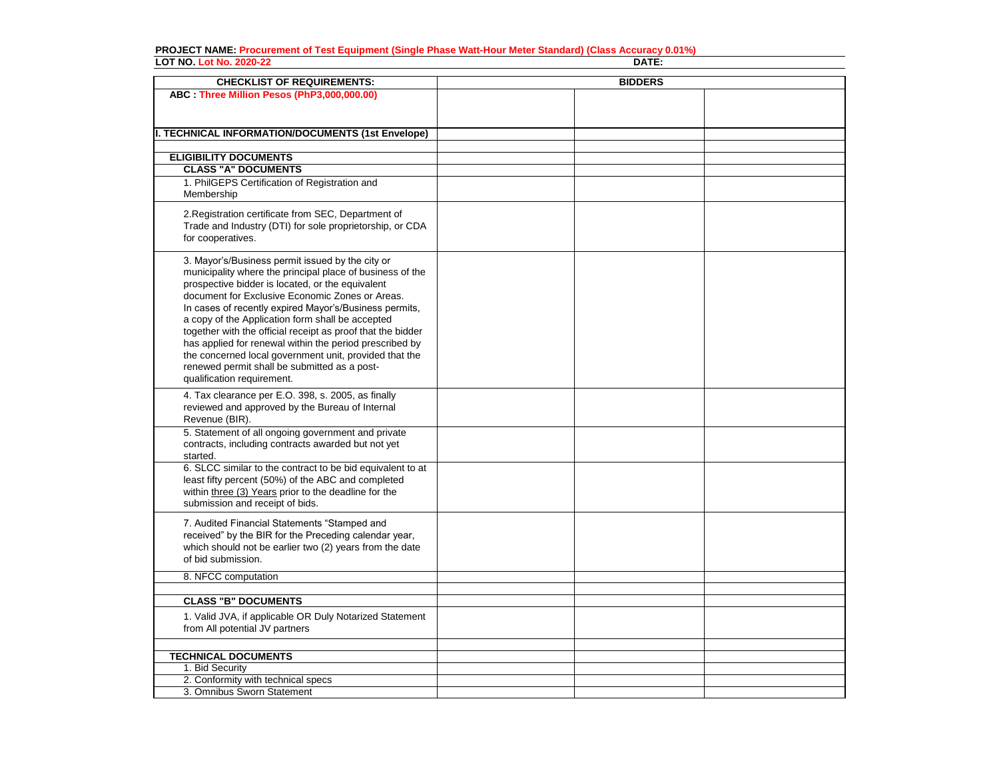## **PROJECT NAME: Procurement of Test Equipment (Single Phase Watt-Hour Meter Standard) (Class Accuracy 0.01%) LOT NO. Lot No. 2020-22 DATE:**

| <b>CHECKLIST OF REQUIREMENTS:</b>                                                                                                                                                                                                                                                                                                                                                                                                                                                                                                                                                                    | <b>BIDDERS</b> |  |  |
|------------------------------------------------------------------------------------------------------------------------------------------------------------------------------------------------------------------------------------------------------------------------------------------------------------------------------------------------------------------------------------------------------------------------------------------------------------------------------------------------------------------------------------------------------------------------------------------------------|----------------|--|--|
| ABC : Three Million Pesos (PhP3,000,000.00)                                                                                                                                                                                                                                                                                                                                                                                                                                                                                                                                                          |                |  |  |
|                                                                                                                                                                                                                                                                                                                                                                                                                                                                                                                                                                                                      |                |  |  |
|                                                                                                                                                                                                                                                                                                                                                                                                                                                                                                                                                                                                      |                |  |  |
| <b>II. TECHNICAL INFORMATION/DOCUMENTS (1st Envelope)</b>                                                                                                                                                                                                                                                                                                                                                                                                                                                                                                                                            |                |  |  |
|                                                                                                                                                                                                                                                                                                                                                                                                                                                                                                                                                                                                      |                |  |  |
| <b>ELIGIBILITY DOCUMENTS</b>                                                                                                                                                                                                                                                                                                                                                                                                                                                                                                                                                                         |                |  |  |
| <b>CLASS "A" DOCUMENTS</b>                                                                                                                                                                                                                                                                                                                                                                                                                                                                                                                                                                           |                |  |  |
| 1. PhilGEPS Certification of Registration and<br>Membership                                                                                                                                                                                                                                                                                                                                                                                                                                                                                                                                          |                |  |  |
| 2. Registration certificate from SEC, Department of<br>Trade and Industry (DTI) for sole proprietorship, or CDA<br>for cooperatives.                                                                                                                                                                                                                                                                                                                                                                                                                                                                 |                |  |  |
| 3. Mayor's/Business permit issued by the city or<br>municipality where the principal place of business of the<br>prospective bidder is located, or the equivalent<br>document for Exclusive Economic Zones or Areas.<br>In cases of recently expired Mayor's/Business permits,<br>a copy of the Application form shall be accepted<br>together with the official receipt as proof that the bidder<br>has applied for renewal within the period prescribed by<br>the concerned local government unit, provided that the<br>renewed permit shall be submitted as a post-<br>qualification requirement. |                |  |  |
| 4. Tax clearance per E.O. 398, s. 2005, as finally<br>reviewed and approved by the Bureau of Internal<br>Revenue (BIR).                                                                                                                                                                                                                                                                                                                                                                                                                                                                              |                |  |  |
| 5. Statement of all ongoing government and private<br>contracts, including contracts awarded but not yet<br>started.                                                                                                                                                                                                                                                                                                                                                                                                                                                                                 |                |  |  |
| 6. SLCC similar to the contract to be bid equivalent to at<br>least fifty percent (50%) of the ABC and completed<br>within three (3) Years prior to the deadline for the<br>submission and receipt of bids.                                                                                                                                                                                                                                                                                                                                                                                          |                |  |  |
| 7. Audited Financial Statements "Stamped and<br>received" by the BIR for the Preceding calendar year,<br>which should not be earlier two (2) years from the date<br>of bid submission.                                                                                                                                                                                                                                                                                                                                                                                                               |                |  |  |
| 8. NFCC computation                                                                                                                                                                                                                                                                                                                                                                                                                                                                                                                                                                                  |                |  |  |
|                                                                                                                                                                                                                                                                                                                                                                                                                                                                                                                                                                                                      |                |  |  |
| <b>CLASS "B" DOCUMENTS</b>                                                                                                                                                                                                                                                                                                                                                                                                                                                                                                                                                                           |                |  |  |
| 1. Valid JVA, if applicable OR Duly Notarized Statement<br>from All potential JV partners                                                                                                                                                                                                                                                                                                                                                                                                                                                                                                            |                |  |  |
|                                                                                                                                                                                                                                                                                                                                                                                                                                                                                                                                                                                                      |                |  |  |
| <b>TECHNICAL DOCUMENTS</b>                                                                                                                                                                                                                                                                                                                                                                                                                                                                                                                                                                           |                |  |  |
| 1. Bid Security<br>2. Conformity with technical specs                                                                                                                                                                                                                                                                                                                                                                                                                                                                                                                                                |                |  |  |
| 3. Omnibus Sworn Statement                                                                                                                                                                                                                                                                                                                                                                                                                                                                                                                                                                           |                |  |  |
|                                                                                                                                                                                                                                                                                                                                                                                                                                                                                                                                                                                                      |                |  |  |